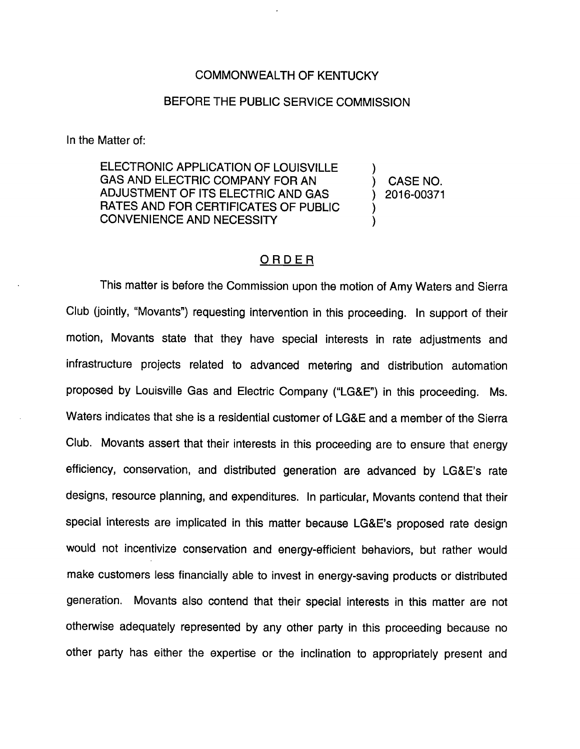## COMMONWEALTH OF KENTUCKY

## BEFORE THE PUBLIC SERVICE COMMISSION

In the Matter of:

ELECTRONIC APPLICATION OF LOUISVILLE GAS AND ELECTRIC COMPANY FOR AN ADJUSTMENT OF ITS ELECTRIC AND GAS RATES AND FOR CERTIFICATES OF PUBLIC CONVENIENCE AND NECESSITY

CASE NO. 2016-00371

## ORDER

This matter is before the Commission upon the motion of Amy Waters and Sierra Club (jointly, "Movants") requesting intervention in this proceeding. In support of their motion, Movants state that they have special interests in rate adjustments and infrastructure projects related to advanced metering and distribution automation proposed by Louisville Gas and Electric Company ("LG&E") in this proceeding. Ms. Waters indicates that she is a residential customer of LG&E and a member of the Sierra Club. Movants assert that their interests in this proceeding are to ensure that energy efficiency, conservation, and distributed generation are advanced by LG&E's rate designs, resource planning, and expenditures. In particular, Movants contend that their special interests are implicated in this matter because LG&E's proposed rate design would not incentivize conservation and energy-efficient behaviors, but rather would make customers less financially able to invest in energy-saving products or distributed generation. Movants also contend that their special interests in this matter are not otherwise adequately represented by any other party in this proceeding because no other party has either the expertise or the inclination to appropriately present and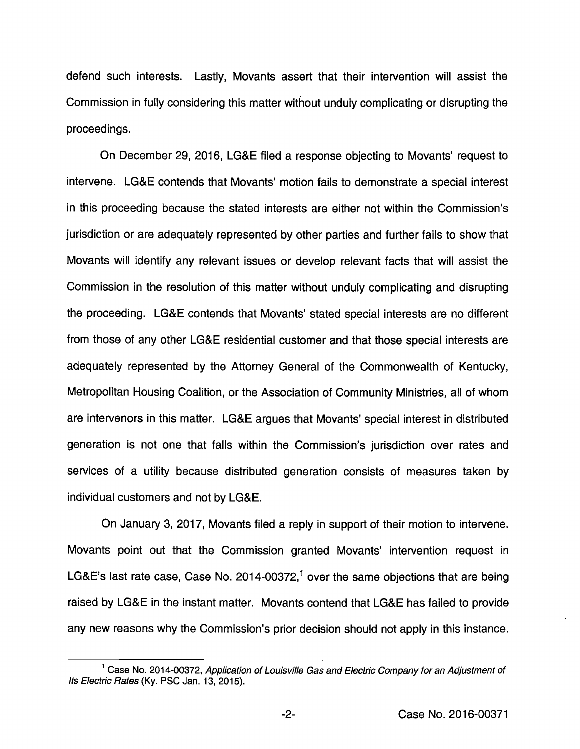defend such interests. Lastly, Movants assert that their intervention will assist the Commission in fully considering this matter without unduly complicating or disrupting the proceedings.

On December 29, 2016, LG&E filed a response objecting to Movants' request to intervene. LG&E contends that Movants' motion fails to demonstrate a special interest in this proceeding because the stated interests are either not within the Commission's jurisdiction or are adequately represented by other parties and further fails to show that Movants will identify any relevant issues or develop relevant facts that will assist the Commission in the resolution of this matter without unduly complicating and disrupting the proceeding. LG&E contends that Movants' stated special interests are no different from those of any other LG&E residential customer and that those special interests are adequately represented by the Attomey General of the Commonwealth of Kentucky, Metropolitan Housing Coalition, or the Association of Community Ministries, all of whom are intervenors in this matter. LG&E argues that Movants' special interest in distributed generation is not one that falls within the Commission's jurisdiction over rates and services of a utility because distributed generation consists of measures taken by individual customers and not by LG&E.

On January 3, 2017, Movants filed a reply in support of their motion to intervene. Movants point out that the Commission granted Movants' intervention request in LG&E's last rate case, Case No. 2014-00372,<sup>1</sup> over the same objections that are being raised by LG&E in the instant matter. Movants contend that LG&E has failed to provide any new reasons why the Commission's prior decision should not apply in this instance.

 $^1$  Case No. 2014-00372, Application of Louisville Gas and Electric Company for an Adjustment of Its Electric Rates (Ky. PSC Jan. 13, 2015).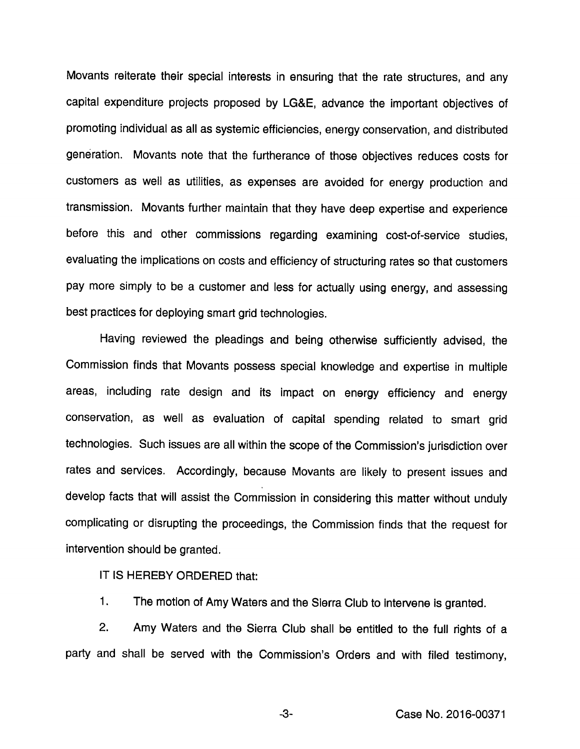Movants reiterate their speciai interests in ensuring that the rate structures, and any capitai expenditure projects proposed by LG&E, advance the important objectives of promoting individuai as aii as systemic efficiencies, energy conservation, and distributed generation. Movants note that the furtherance of those objectives reduces costs for customers as weii as utilities, as expenses are avoided for energy production and transmission. Movants further maintain that they have deep expertise and experience before this and other commissions regarding examining cost-of-service studies, evaluating the implications on costs and efficiency of structuring rates so that customers pay more simply to be a customer and less for actually using energy, and assessing best practices for deploying smart grid technologies.

Having reviewed the pleadings and being otherwise sufficiently advised, the Commission finds that Movants possess speciai knowledge and expertise in multiple areas, including rate design and its impact on energy efficiency and energy conservation, as weii as evaluation of capital spending related to smart grid technologies. Such issues are all within the scope of the Commission's jurisdiction over rates and services. Accordingly, because Movants are likely to present issues and develop facts that will assist the Commission in considering this matter without unduly complicating or disrupting the proceedings, the Commission finds that the request for intervention should be granted.

IT IS HEREBY ORDERED that:

1. The motion of Amy Waters and the Sierra Club to intervene is granted.

2. Amy Waters and the Sierra Club shall be entitled to the full rights of a party and shall be served with the Commission's Orders and with filed testimony.

-3- Case No. 2016-00371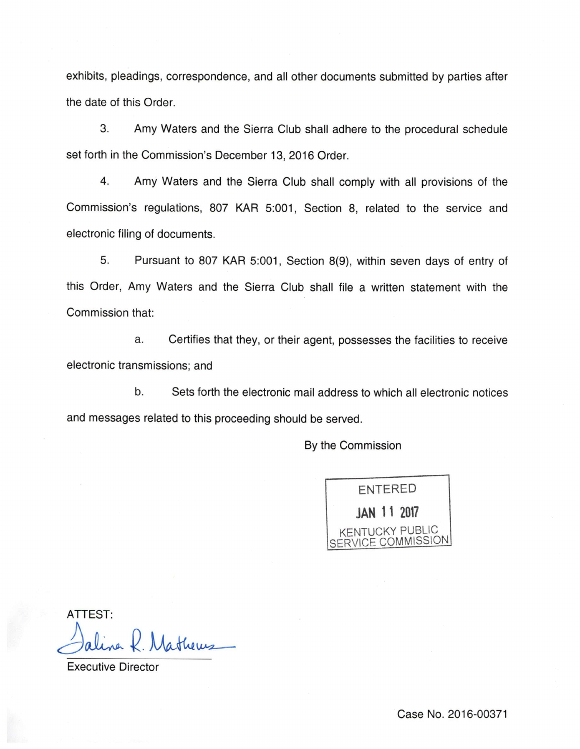exhibits, pleadings, correspondence, and all other documents submitted by parties after the date of this Order.

3. Amy Waters and the Sierra Club shall adhere to the procedural schedule set forth in the Commission's December 13, 2016 Order.

4. Amy Waters and the Sierra Club shall comply with all provisions of the Commission's regulations, 807 KAR 5:001, Section 8, related to the service and electronic filing of documents.

5. Pursuant to 807 KAR 5:001, Section 8(9), within seven days of entry of this Order, Amy Waters and the Sierra Club shall file a written statement with the Commission that:

a. Certifies that they, or their agent, possesses the facilities to receive electronic transmissions; and

b. Sets forth the electronic mail address to which all electronic notices and messages related to this proceeding should be served.

By the Commission

entered JAN 11 2017 **ICKY PUBLIC immission** 

ATTEST:

Executive Director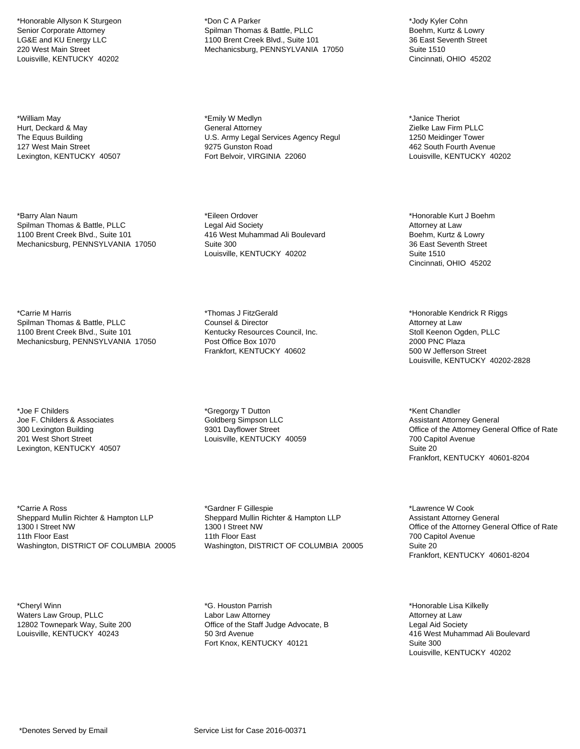\*Honorable Allyson K Sturgeon Senior Corporate Attorney LG&E and KU Energy LLC 220 West Main Street Louisville, KENTUCKY 40202

\*William May Hurt, Deckard & May The Equus Building 127 West Main Street Lexington, KENTUCKY 40507

\*Barry Alan Naum Spilman Thomas & Battle, PLLC 1100 Brent Creek Blvd., Suite 101 Mechanicsburg, PENNSYLVANIA 17050

\*Carrie M Harris Spilman Thomas & Battle, PLLC 1100 Brent Creek Blvd., Suite 101 Mechanicsburg, PENNSYLVANIA 17050

\*Joe F Childers Joe F. Childers & Associates 300 Lexington Building 201 West Short Street Lexington, KENTUCKY 40507

\*Carrie A Ross Sheppard Mullin Richter & Hampton LLP 1300 I Street NW 11th Floor East Washington, DISTRICT OF COLUMBIA 20005

\*Cheryl Winn Waters Law Group, PLLC 12802 Townepark Way, Suite 200 Louisville, KENTUCKY 40243

\*Don C A Parker Spilman Thomas & Battle, PLLC 1100 Brent Creek Blvd., Suite 101 Mechanicsburg, PENNSYLVANIA 17050

\*Emily W Medlyn General Attorney U.S. Army Legal Services Agency Regul 9275 Gunston Road Fort Belvoir, VIRGINIA 22060

\*Eileen Ordover Legal Aid Society 416 West Muhammad Ali Boulevard Suite 300 Louisville, KENTUCKY 40202

\*Thomas J FitzGerald Counsel & Director Kentucky Resources Council, Inc. Post Office Box 1070 Frankfort, KENTUCKY 40602

\*Gregorgy T Dutton Goldberg Simpson LLC 9301 Dayflower Street Louisville, KENTUCKY 40059

\*Gardner F Gillespie Sheppard Mullin Richter & Hampton LLP 1300 I Street NW 11th Floor East Washington, DISTRICT OF COLUMBIA 20005

\*G. Houston Parrish Labor Law Attorney Office of the Staff Judge Advocate, B 50 3rd Avenue Fort Knox, KENTUCKY 40121

\*Jody Kyler Cohn Boehm, Kurtz & Lowry 36 East Seventh Street Suite 1510 Cincinnati, OHIO 45202

\*Janice Theriot Zielke Law Firm PLLC 1250 Meidinger Tower 462 South Fourth Avenue Louisville, KENTUCKY 40202

\*Honorable Kurt J Boehm Attorney at Law Boehm, Kurtz & Lowry 36 East Seventh Street Suite 1510 Cincinnati, OHIO 45202

\*Honorable Kendrick R Riggs Attorney at Law Stoll Keenon Ogden, PLLC 2000 PNC Plaza 500 W Jefferson Street Louisville, KENTUCKY 40202-2828

\*Kent Chandler Assistant Attorney General Office of the Attorney General Office of Rate 700 Capitol Avenue Suite 20 Frankfort, KENTUCKY 40601-8204

\*Lawrence W Cook Assistant Attorney General Office of the Attorney General Office of Rate 700 Capitol Avenue Suite 20 Frankfort, KENTUCKY 40601-8204

\*Honorable Lisa Kilkelly Attorney at Law Legal Aid Society 416 West Muhammad Ali Boulevard Suite 300 Louisville, KENTUCKY 40202